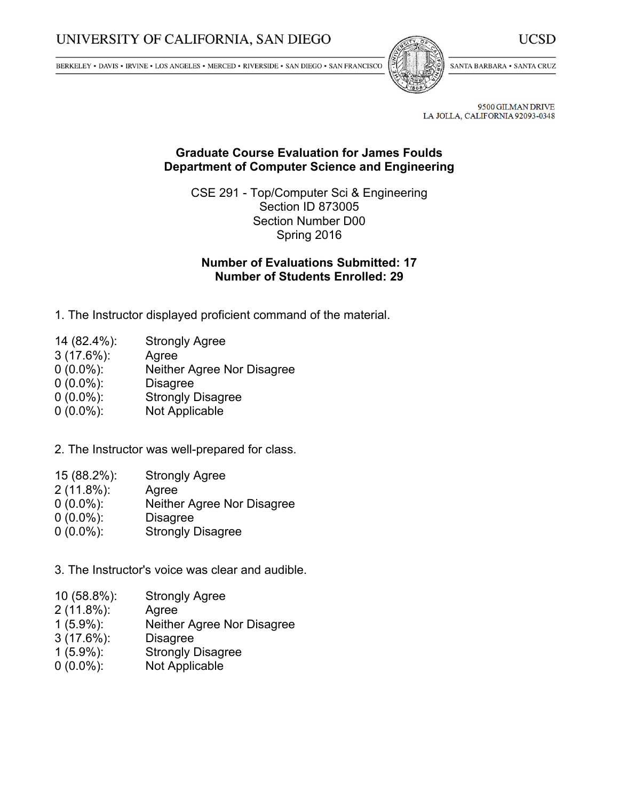BERKELEY • DAVIS • IRVINE • LOS ANGELES • MERCED • RIVERSIDE • SAN DIEGO • SAN FRANCISCO



SANTA BARBARA . SANTA CRUZ

9500 GILMAN DRIVE LA JOLLA, CALIFORNIA 92093-0348

## **Graduate Course Evaluation for James Foulds Department of Computer Science and Engineering**

CSE 291 - Top/Computer Sci & Engineering Section ID 873005 Section Number D00 Spring 2016

# **Number of Evaluations Submitted: 17 Number of Students Enrolled: 29**

- 1. The Instructor displayed proficient command of the material.
- 14 (82.4%): Strongly Agree
- 3 (17.6%): Agree
- 0 (0.0%): Neither Agree Nor Disagree
- 0 (0.0%): Disagree
- 0 (0.0%): Strongly Disagree
- 0 (0.0%): Not Applicable
- 2. The Instructor was well-prepared for class.
- 15 (88.2%): Strongly Agree
- 2 (11.8%): Agree
- 0 (0.0%): Neither Agree Nor Disagree
- 0 (0.0%): Disagree
- 0 (0.0%): Strongly Disagree

3. The Instructor's voice was clear and audible.

- 10 (58.8%): Strongly Agree
- 2 (11.8%): Agree
- 1 (5.9%): Neither Agree Nor Disagree
- 3 (17.6%): Disagree
- 1 (5.9%): Strongly Disagree
- 0 (0.0%): Not Applicable

UCSD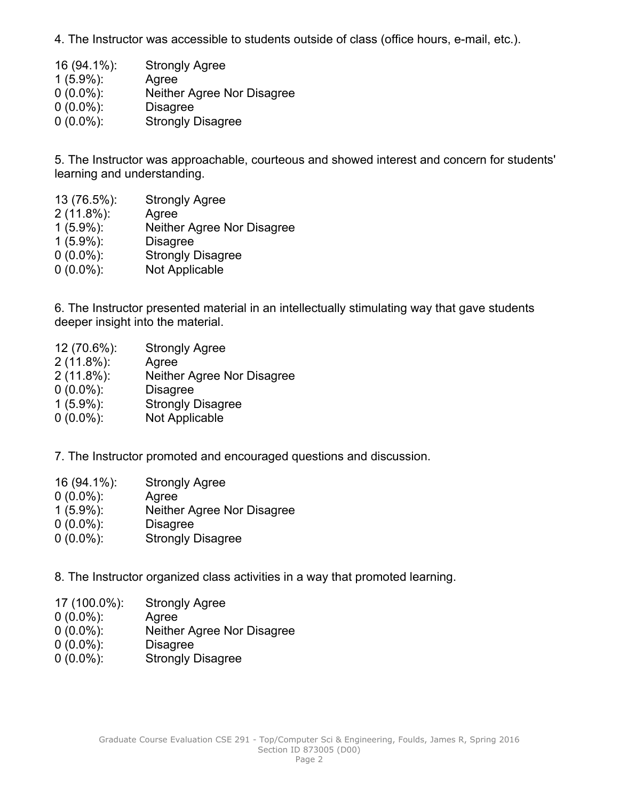4. The Instructor was accessible to students outside of class (office hours, e-mail, etc.).

 (94.1%): Strongly Agree (5.9%): Agree (0.0%): Neither Agree Nor Disagree (0.0%): Disagree (0.0%): Strongly Disagree

5. The Instructor was approachable, courteous and showed interest and concern for students' learning and understanding.

 (76.5%): Strongly Agree (11.8%): Agree (5.9%): Neither Agree Nor Disagree (5.9%): Disagree (0.0%): Strongly Disagree (0.0%): Not Applicable

6. The Instructor presented material in an intellectually stimulating way that gave students deeper insight into the material.

- 12 (70.6%): Strongly Agree
- 2 (11.8%): Agree
- 2 (11.8%): Neither Agree Nor Disagree
- 0 (0.0%): Disagree
- 1 (5.9%): Strongly Disagree
- 0 (0.0%): Not Applicable

7. The Instructor promoted and encouraged questions and discussion.

- 16 (94.1%): Strongly Agree
- 0 (0.0%): Agree
- 1 (5.9%): Neither Agree Nor Disagree
- 0 (0.0%): Disagree
- 0 (0.0%): Strongly Disagree

8. The Instructor organized class activities in <sup>a</sup> way that promoted learning.

- 17 (100.0%): Strongly Agree
- 0 (0.0%): Agree
- 0 (0.0%): Neither Agree Nor Disagree
- 0 (0.0%): Disagree
- 0 (0.0%): Strongly Disagree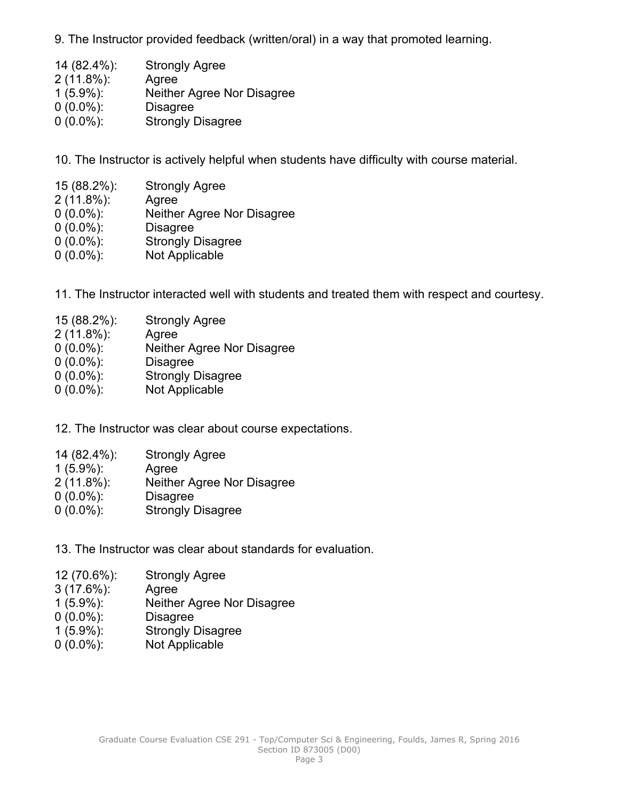9. The Instructor provided feedback (written/oral) in <sup>a</sup> way that promoted learning.

 (82.4%): Strongly Agree (11.8%): Agree (5.9%): Neither Agree Nor Disagree (0.0%): Disagree (0.0%): Strongly Disagree

10. The Instructor is actively helpful when students have difficulty with course material.

- 15 (88.2%): Strongly Agree
- 2 (11.8%): Agree
- 0 (0.0%): Neither Agree Nor Disagree
- 0 (0.0%): Disagree
- 0 (0.0%): Strongly Disagree
- 0 (0.0%): Not Applicable
- 11. The Instructor interacted well with students and treated them with respect and courtesy.
- 15 (88.2%): Strongly Agree
- 2 (11.8%): Agree
- 0 (0.0%): Neither Agree Nor Disagree
- 0 (0.0%): Disagree
- 0 (0.0%): Strongly Disagree
- 0 (0.0%): Not Applicable

12. The Instructor was clear about course expectations.

- 14 (82.4%): Strongly Agree
- 1 (5.9%): Agree
- 2 (11.8%): Neither Agree Nor Disagree
- 0 (0.0%): Disagree
- 0 (0.0%): Strongly Disagree
- 13. The Instructor was clear about standards for evaluation.
- 12 (70.6%): Strongly Agree
- 3 (17.6%): Agree
- 1 (5.9%): Neither Agree Nor Disagree
- 0 (0.0%): Disagree
- 1 (5.9%): Strongly Disagree
- 0 (0.0%): Not Applicable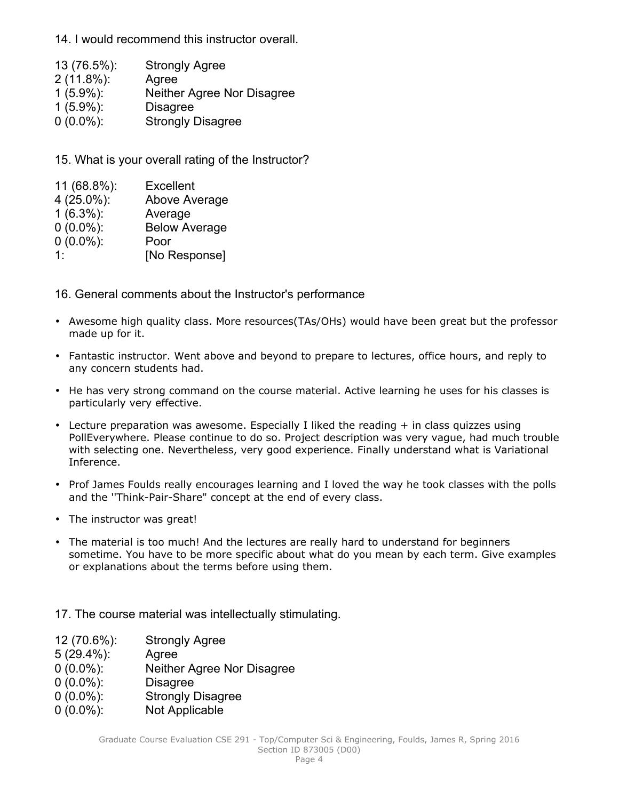14. I would recommend this instructor overall.

| 13 (76.5%):   | <b>Strongly Agree</b>      |
|---------------|----------------------------|
| $2(11.8\%)$ : | Agree                      |
| $1(5.9\%)$ :  | Neither Agree Nor Disagree |
| $1(5.9\%)$ :  | <b>Disagree</b>            |
| $0(0.0\%)$    | <b>Strongly Disagree</b>   |

15. What is your overall rating of the Instructor?

| 11 (68.8%):  | <b>Excellent</b>     |
|--------------|----------------------|
| 4 (25.0%):   | Above Average        |
| $1(6.3\%)$ : | Average              |
| $0(0.0\%)$ : | <b>Below Average</b> |
| $0(0.0\%)$ : | Poor                 |
| 1.           | [No Response]        |

16. General comments about the Instructor's performance

- Awesome high quality class. More resources(TAs/OHs) would have been great but the professor made up for it.
- Fantastic instructor. Went above and beyond to prepare to lectures, office hours, and reply to any concern students had.
- He has very strong command on the course material. Active learning he uses for his classes is particularly very effective.
- Lecture preparation was awesome. Especially I liked the reading <sup>+</sup> in class quizzes using PollEverywhere. Please continue to do so. Project description was very vague, had much trouble with selecting one. Nevertheless, very good experience. Finally understand what is Variational Inference.
- Prof James Foulds really encourages learning and I loved the way he took classes with the polls and the ''Think-Pair-Share" concept at the end of every class.
- The instructor was great!
- The material is too much! And the lectures are really hard to understand for beginners sometime. You have to be more specific about what do you mean by each term. Give examples or explanations about the terms before using them.

17. The course material was intellectually stimulating.

12 (70.6%): Strongly Agree

#### 5 (29.4%): Agree

- 0 (0.0%): Neither Agree Nor Disagree
- 0 (0.0%): Disagree
- 0 (0.0%): Strongly Disagree
- 0 (0.0%): Not Applicable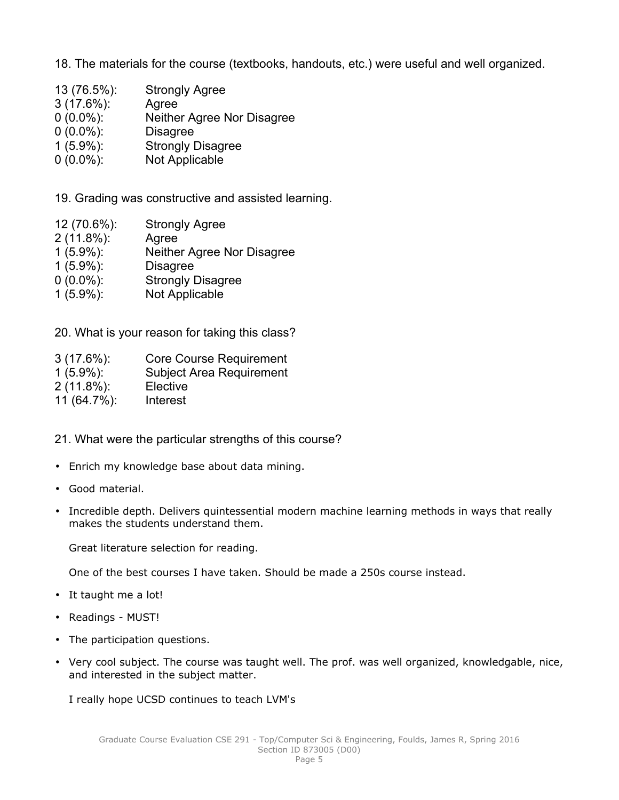18. The materials for the course (textbooks, handouts, etc.) were useful and well organized.

- 13 (76.5%): Strongly Agree
- 3 (17.6%): Agree
- 0 (0.0%): Neither Agree Nor Disagree
- 0 (0.0%): Disagree
- 1 (5.9%): Strongly Disagree
- 0 (0.0%): Not Applicable

19. Grading was constructive and assisted learning.

- 12 (70.6%): Strongly Agree
- 2 (11.8%): Agree
- 1 (5.9%): Neither Agree Nor Disagree
- 1 (5.9%): Disagree
- 0 (0.0%): Strongly Disagree
- 1 (5.9%): Not Applicable

20. What is your reason for taking this class?

| $3(17.6\%)$ :  | <b>Core Course Requirement</b>  |
|----------------|---------------------------------|
| $1(5.9\%)$ :   | <b>Subject Area Requirement</b> |
| $2(11.8\%)$ :  | Elective                        |
| $11(64.7\%)$ : | Interest                        |

- 21. What were the particular strengths of this course?
- Enrich my knowledge base about data mining.
- Good material.
- Incredible depth. Delivers quintessential modern machine learning methods in ways that really makes the students understand them.

Great literature selection for reading.

One of the best courses I have taken. Should be made a 250s course instead.

- It taught me a lot!
- Readings MUST!
- The participation questions.
- Very cool subject. The course was taught well. The prof. was well organized, knowledgable, nice, and interested in the subject matter.

I really hope UCSD continues to teach LVM's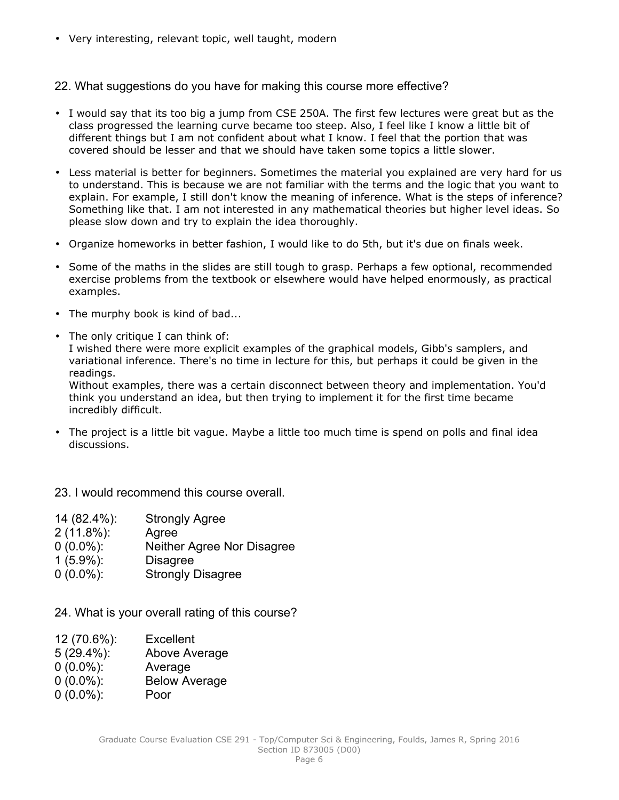• Very interesting, relevant topic, well taught, modern

### 22. What suggestions do you have for making this course more effective?

- I would say that its too big <sup>a</sup> jump from CSE 250A. The first few lectures were great but as the class progressed the learning curve became too steep. Also, I feel like I know <sup>a</sup> little bit of different things but I am not confident about what I know. I feel that the portion that was covered should be lesser and that we should have taken some topics <sup>a</sup> little slower.
- Less material is better for beginners. Sometimes the material you explained are very hard for us to understand. This is because we are not familiar with the terms and the logic that you want to explain. For example, I still don't know the meaning of inference. What is the steps of inference? Something like that. I am not interested in any mathematical theories but higher level ideas. So please slow down and try to explain the idea thoroughly.
- Organize homeworks in better fashion, I would like to do 5th, but it's due on finals week.
- Some of the maths in the slides are still tough to grasp. Perhaps <sup>a</sup> few optional, recommended exercise problems from the textbook or elsewhere would have helped enormously, as practical examples.
- The murphy book is kind of bad...
- The only critique I can think of:

I wished there were more explicit examples of the graphical models, Gibb's samplers, and variational inference. There's no time in lecture for this, but perhaps it could be given in the readings.

Without examples, there was <sup>a</sup> certain disconnect between theory and implementation. You'd think you understand an idea, but then trying to implement it for the first time became incredibly difficult.

• The project is <sup>a</sup> little bit vague. Maybe <sup>a</sup> little too much time is spend on polls and final idea discussions.

23. I would recommend this course overall

| 14 (82.4%):   | <b>Strongly Agree</b>      |
|---------------|----------------------------|
| $2(11.8\%)$ : | Agree                      |
| $0(0.0\%)$    | Neither Agree Nor Disagree |
| $1(5.9\%)$ :  | <b>Disagree</b>            |
| $0(0.0\%)$ :  | <b>Strongly Disagree</b>   |

24. What is your overall rating of this course?

| 12 (70.6%):   | <b>Excellent</b> |
|---------------|------------------|
| $5(29.4\%)$ : | Above Average    |
| $0(0.0\%)$ :  | Average          |

- 0 (0.0%): Below Average
- 0 (0.0%): Poor